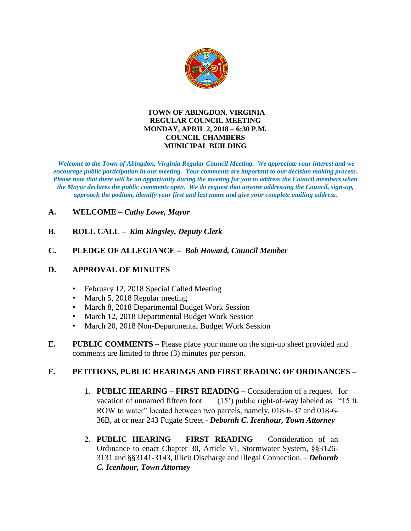

#### **TOWN OF ABINGDON, VIRGINIA REGULAR COUNCIL MEETING MONDAY, APRIL 2, 2018 – 6:30 P.M. COUNCIL CHAMBERS MUNICIPAL BUILDING**

*Welcome to the Town of Abingdon, Virginia Regular Council Meeting. We appreciate your interest and we encourage public participation in our meeting. Your comments are important to our decision making process. Please note that there will be an opportunity during the meeting for you to address the Council members when the Mayor declares the public comments open. We do request that anyone addressing the Council, sign-up, approach the podium, identify your first and last name and give your complete mailing address.* 

### **A. WELCOME –** *Cathy Lowe, Mayor*

**B. ROLL CALL –** *Kim Kingsley, Deputy Clerk*

### **C. PLEDGE OF ALLEGIANCE –** *Bob Howard, Council Member*

#### **D. APPROVAL OF MINUTES**

- February 12, 2018 Special Called Meeting
- March 5, 2018 Regular meeting
- March 8, 2018 Departmental Budget Work Session
- March 12, 2018 Departmental Budget Work Session
- March 20, 2018 Non-Departmental Budget Work Session
- **E. PUBLIC COMMENTS –** Please place your name on the sign-up sheet provided and comments are limited to three (3) minutes per person.

## **F. PETITIONS, PUBLIC HEARINGS AND FIRST READING OF ORDINANCES –**

- 1. **PUBLIC HEARING – FIRST READING –** Consideration of a request for vacation of unnamed fifteen foot  $(15')$  public right-of-way labeled as "15 ft. ROW to water" located between two parcels, namely, 018-6-37 and 018-6- 36B, at or near 243 Fugate Street - *Deborah C. Icenhour, Town Attorney*
- 2. **PUBLIC HEARING – FIRST READING –** Consideration of an Ordinance to enact Chapter 30, Article VI, Stormwater System, §§3126- 3131 and §§3141-3143, Illicit Discharge and Illegal Connection. – *Deborah C. Icenhour, Town Attorney*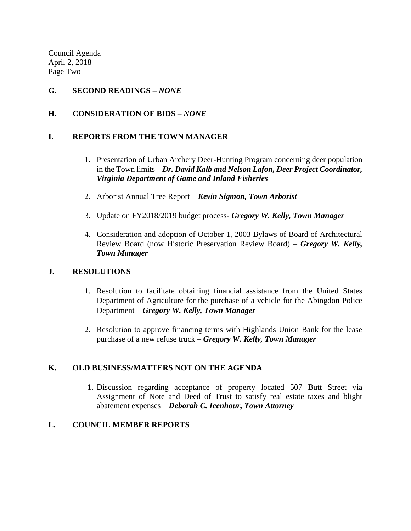Council Agenda April 2, 2018 Page Two

### **G. SECOND READINGS –** *NONE*

### **H. CONSIDERATION OF BIDS –** *NONE*

### **I. REPORTS FROM THE TOWN MANAGER**

- 1. Presentation of Urban Archery Deer-Hunting Program concerning deer population in the Town limits – *Dr. David Kalb and Nelson Lafon, Deer Project Coordinator, Virginia Department of Game and Inland Fisheries*
- 2. Arborist Annual Tree Report *Kevin Sigmon, Town Arborist*
- 3. Update on FY2018/2019 budget process- *Gregory W. Kelly, Town Manager*
- 4. Consideration and adoption of October 1, 2003 Bylaws of Board of Architectural Review Board (now Historic Preservation Review Board) – *Gregory W. Kelly, Town Manager*

#### **J. RESOLUTIONS**

- 1. Resolution to facilitate obtaining financial assistance from the United States Department of Agriculture for the purchase of a vehicle for the Abingdon Police Department – *Gregory W. Kelly, Town Manager*
- 2. Resolution to approve financing terms with Highlands Union Bank for the lease purchase of a new refuse truck – *Gregory W. Kelly, Town Manager*

## **K. OLD BUSINESS/MATTERS NOT ON THE AGENDA**

1. Discussion regarding acceptance of property located 507 Butt Street via Assignment of Note and Deed of Trust to satisfy real estate taxes and blight abatement expenses – *Deborah C. Icenhour, Town Attorney*

## **L. COUNCIL MEMBER REPORTS**